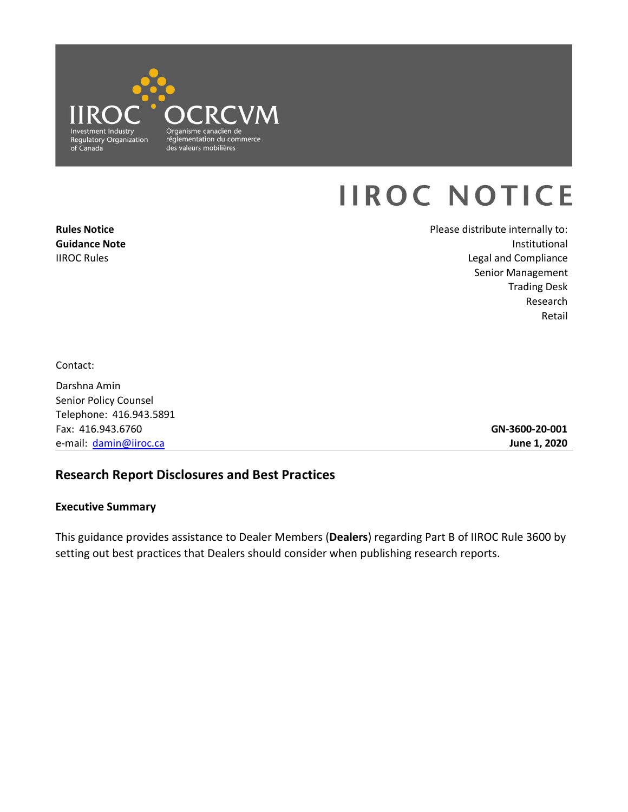

# **IIROC NOTICE**

**Rules Notice Guidance Note**  IIROC Rules

Please distribute internally to: Institutional Legal and Compliance Senior Management Trading Desk Research Retail

Contact:

Darshna Amin Senior Policy Counsel Telephone: 416.943.5891 Fax: 416.943.6760 e-mail: [damin@iiroc.ca](mailto:damin@iiroc.ca) 

**GN-3600-20-001 June 1, 2020** 

# **Research Report Disclosures and Best Practices**

#### **Executive Summary**

This guidance provides assistance to Dealer Members (**Dealers**) regarding Part B of IIROC Rule 3600 by setting out best practices that Dealers should consider when publishing research reports.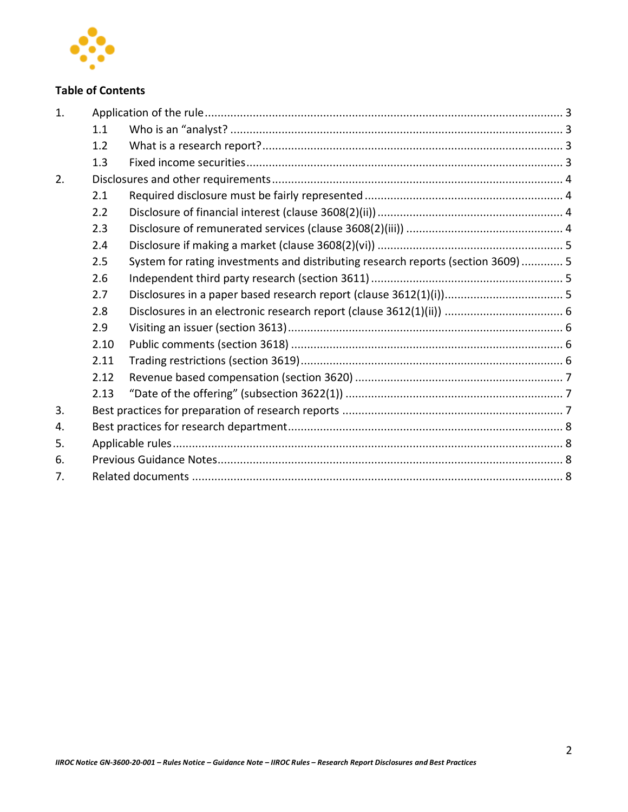

# **Table of Contents**

| 1. |      |                                                                                   |  |  |
|----|------|-----------------------------------------------------------------------------------|--|--|
|    | 1.1  |                                                                                   |  |  |
|    | 1.2  |                                                                                   |  |  |
|    | 1.3  |                                                                                   |  |  |
| 2. |      |                                                                                   |  |  |
|    | 2.1  |                                                                                   |  |  |
|    | 2.2  |                                                                                   |  |  |
|    | 2.3  |                                                                                   |  |  |
|    | 2.4  |                                                                                   |  |  |
|    | 2.5  | System for rating investments and distributing research reports (section 3609)  5 |  |  |
|    | 2.6  |                                                                                   |  |  |
|    | 2.7  |                                                                                   |  |  |
|    | 2.8  |                                                                                   |  |  |
|    | 2.9  |                                                                                   |  |  |
|    | 2.10 |                                                                                   |  |  |
|    | 2.11 |                                                                                   |  |  |
|    | 2.12 |                                                                                   |  |  |
|    | 2.13 |                                                                                   |  |  |
| 3. |      |                                                                                   |  |  |
| 4. |      |                                                                                   |  |  |
| 5. |      |                                                                                   |  |  |
| 6. |      |                                                                                   |  |  |
| 7. |      |                                                                                   |  |  |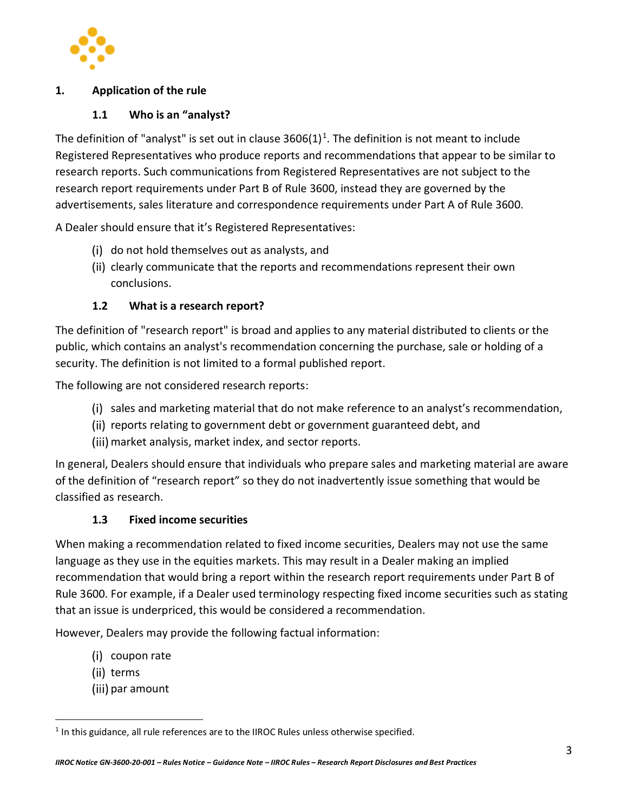

#### <span id="page-2-1"></span><span id="page-2-0"></span>**1. Application of the rule**

#### **1.1 Who is an "analyst?**

The definition of "analyst" is set out in clause 3606(1)<sup>1</sup>. The definition is not meant to include Registered Representatives who produce reports and recommendations that appear to be similar to research reports. Such communications from Registered Representatives are not subject to the research report requirements under Part B of Rule 3600, instead they are governed by the advertisements, sales literature and correspondence requirements under Part A of Rule 3600.

A Dealer should ensure that it's Registered Representatives:

- (i) do not hold themselves out as analysts, and
- (ii) clearly communicate that the reports and recommendations represent their own conclusions.

#### **1.2 What is a research report?**

<span id="page-2-2"></span>The definition of "research report" is broad and applies to any material distributed to clients or the public, which contains an analyst's recommendation concerning the purchase, sale or holding of a security. The definition is not limited to a formal published report.

The following are not considered research reports:

- $(i)$  sales and marketing material that do not make reference to an analyst's recommendation,
- (ii) reports relating to government debt or government guaranteed debt, and
- (iii) market analysis, market index, and sector reports.

In general, Dealers should ensure that individuals who prepare sales and marketing material are aware of the definition of "research report" so they do not inadvertently issue something that would be classified as research.

#### **1.3 Fixed income securities**

<span id="page-2-3"></span>When making a recommendation related to fixed income securities, Dealers may not use the same language as they use in the equities markets. This may result in a Dealer making an implied recommendation that would bring a report within the research report requirements under Part B of Rule 3600. For example, if a Dealer used terminology respecting fixed income securities such as stating that an issue is underpriced, this would be considered a recommendation.

However, Dealers may provide the following factual information:

- (i) coupon rate
- (ii) terms
- (iii) par amount

 $<sup>1</sup>$  In this guidance, all rule references are to the IIROC Rules unless otherwise specified.</sup>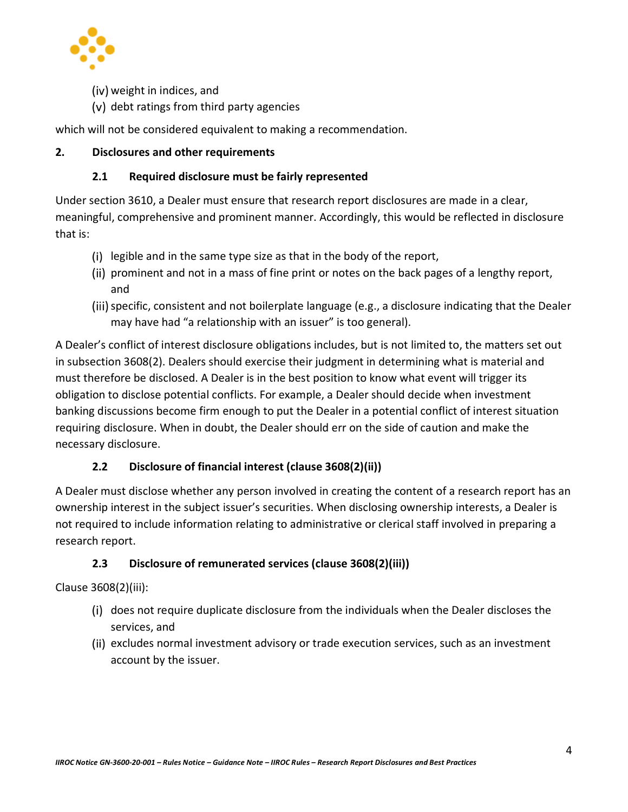

- (iv) weight in indices, and
- $(v)$  debt ratings from third party agencies

which will not be considered equivalent to making a recommendation.

#### <span id="page-3-1"></span><span id="page-3-0"></span>**2. Disclosures and other requirements**

#### **2.1 Required disclosure must be fairly represented**

 Under section 3610, a Dealer must ensure that research report disclosures are made in a clear, meaningful, comprehensive and prominent manner. Accordingly, this would be reflected in disclosure that is:

- $(i)$  legible and in the same type size as that in the body of the report,
- (ii) prominent and not in a mass of fine print or notes on the back pages of a lengthy report, and
- (iii) specific, consistent and not boilerplate language (e.g., a disclosure indicating that the Dealer may have had "a relationship with an issuer" is too general).

 in subsection 3608(2). Dealers should exercise their judgment in determining what is material and obligation to disclose potential conflicts. For example, a Dealer should decide when investment requiring disclosure. When in doubt, the Dealer should err on the side of caution and make the  necessary disclosure. A Dealer's conflict of interest disclosure obligations includes, but is not limited to, the matters set out must therefore be disclosed. A Dealer is in the best position to know what event will trigger its banking discussions become firm enough to put the Dealer in a potential conflict of interest situation

## **2.2 Disclosure of financial interest (clause 3608(2)(ii))**

<span id="page-3-2"></span> A Dealer must disclose whether any person involved in creating the content of a research report has an not required to include information relating to administrative or clerical staff involved in preparing a ownership interest in the subject issuer's securities. When disclosing ownership interests, a Dealer is research report.

## **2.3 Disclosure of remunerated services (clause 3608(2)(iii))**

<span id="page-3-3"></span>Clause 3608(2)(iii):

- $(i)$  does not require duplicate disclosure from the individuals when the Dealer discloses the services, and
- (ii) excludes normal investment advisory or trade execution services, such as an investment account by the issuer.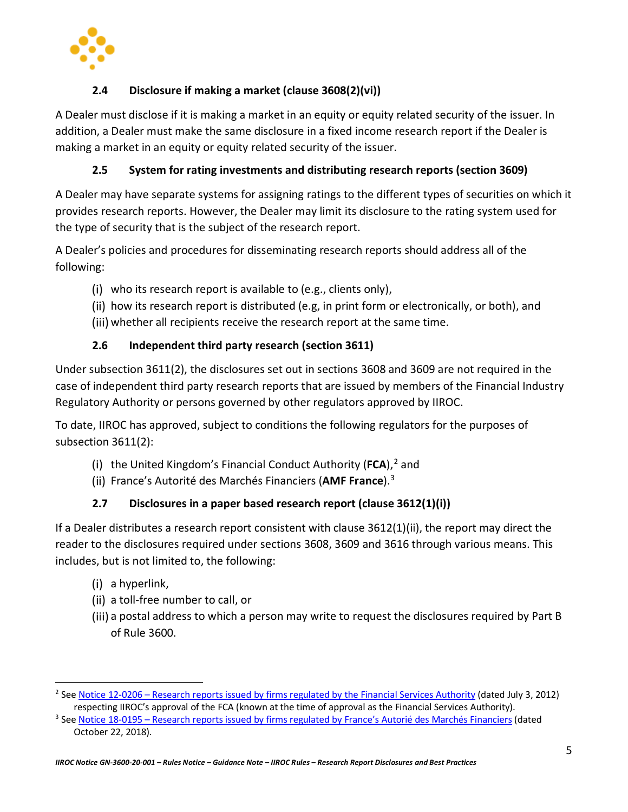

# **2.4 Disclosure if making a market (clause 3608(2)(vi))**

<span id="page-4-0"></span> A Dealer must disclose if it is making a market in an equity or equity related security of the issuer. In addition, a Dealer must make the same disclosure in a fixed income research report if the Dealer is making a market in an equity or equity related security of the issuer.

## **2.5 System for rating investments and distributing research reports (section 3609)**

<span id="page-4-1"></span> A Dealer may have separate systems for assigning ratings to the different types of securities on which it provides research reports. However, the Dealer may limit its disclosure to the rating system used for the type of security that is the subject of the research report.

 A Dealer's policies and procedures for disseminating research reports should address all of the following:

- who its research report is available to (e.g., clients only),
- (ii) how its research report is distributed (e.g, in print form or electronically, or both), and
- (iii) whether all recipients receive the research report at the same time.

#### **2.6 Independent third party research (section 3611)**

<span id="page-4-2"></span> Under subsection 3611(2), the disclosures set out in sections 3608 and 3609 are not required in the case of independent third party research reports that are issued by members of the Financial Industry Regulatory Authority or persons governed by other regulators approved by IIROC.

Regulatory Authority or persons governed by other regulators approved by IIROC.<br>To date, IIROC has approved, subject to conditions the following regulators for the purposes of subsection 3611(2):

- the United Kingdom's Financial Conduct Authority (FCA),<sup>2</sup> and
- France's Autorité des Marchés Financiers (**AMF France**).3

## **2.7 Disclosures in a paper based research report (clause 3612(1)(i))**

<span id="page-4-3"></span> includes, but is not limited to, the following: If a Dealer distributes a research report consistent with clause 3612(1)(ii), the report may direct the reader to the disclosures required under sections 3608, 3609 and 3616 through various means. This

(i) a hyperlink,

-

- (ii) a toll-free number to call, or
- (iii) a postal address to which a person may write to request the disclosures required by Part B of Rule 3600.

<sup>2</sup> Se[e Notice 12-0206 – Research reports issued by firms regulated by the Financial Services Authority \(](https://www.iiroc.ca/guidance-and-support/research-reports-issued-firms-regulated-financial-services-authority)dated July 3, 2012) respecting IIROC's approval of the FCA (known at the time of approval as the Financial Services Authority).<br><sup>3</sup> Se[e Notice 18-0195 – Research reports issued by firms regulated by France's Autorié des Marchés Financiers \(](https://www.iiroc.ca/guidance-and-support/research-reports-issued-firms-regulated-frances-autorite-des-marches)da

October 22, 2018).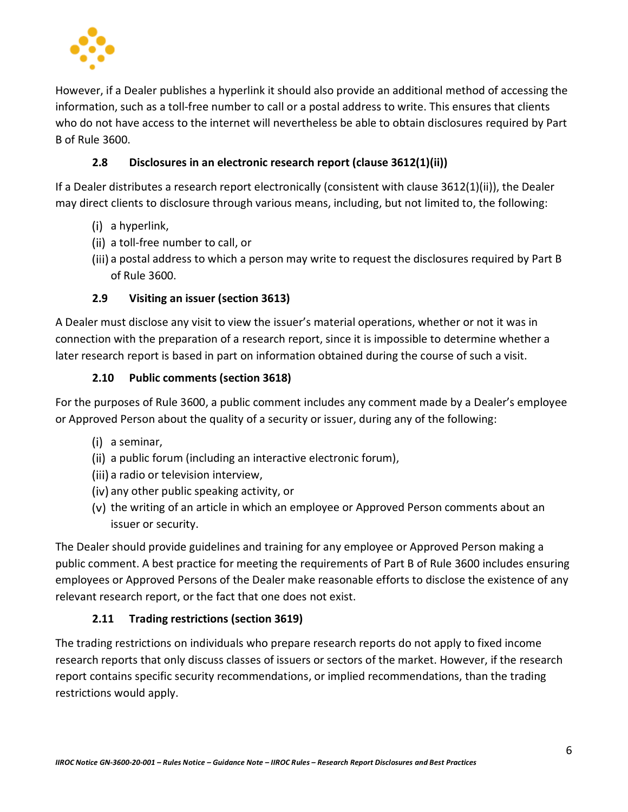

 However, if a Dealer publishes a hyperlink it should also provide an additional method of accessing the who do not have access to the internet will nevertheless be able to obtain disclosures required by Part information, such as a toll-free number to call or a postal address to write. This ensures that clients B of Rule 3600.

## **2.8 Disclosures in an electronic research report (clause 3612(1)(ii))**

<span id="page-5-0"></span>If a Dealer distributes a research report electronically (consistent with clause 3612(1)(ii)), the Dealer may direct clients to disclosure through various means, including, but not limited to, the following:

- (i) a hyperlink,
- (ii) a toll-free number to call, or
- (iii) a postal address to which a person may write to request the disclosures required by Part B of Rule 3600.

## **2.9 Visiting an issuer (section 3613)**

<span id="page-5-1"></span> A Dealer must disclose any visit to view the issuer's material operations, whether or not it was in connection with the preparation of a research report, since it is impossible to determine whether a later research report is based in part on information obtained during the course of such a visit.

#### **2.10 Public comments (section 3618)**

<span id="page-5-2"></span>For the purposes of Rule 3600, a public comment includes any comment made by a Dealer's employee or Approved Person about the quality of a security or issuer, during any of the following:

- (i) a seminar,
- (ii) a public forum (including an interactive electronic forum),
- (iii) a radio or television interview,
- (iv) any other public speaking activity, or
- (v) the writing of an article in which an employee or Approved Person comments about an issuer or security.

The Dealer should provide guidelines and training for any employee or Approved Person making a public comment. A best practice for meeting the requirements of Part B of Rule 3600 includes ensuring employees or Approved Persons of the Dealer make reasonable efforts to disclose the existence of any relevant research report, or the fact that one does not exist.

#### **2.11 Trading restrictions (section 3619)**

<span id="page-5-3"></span>The trading restrictions on individuals who prepare research reports do not apply to fixed income research reports that only discuss classes of issuers or sectors of the market. However, if the research report contains specific security recommendations, or implied recommendations, than the trading restrictions would apply.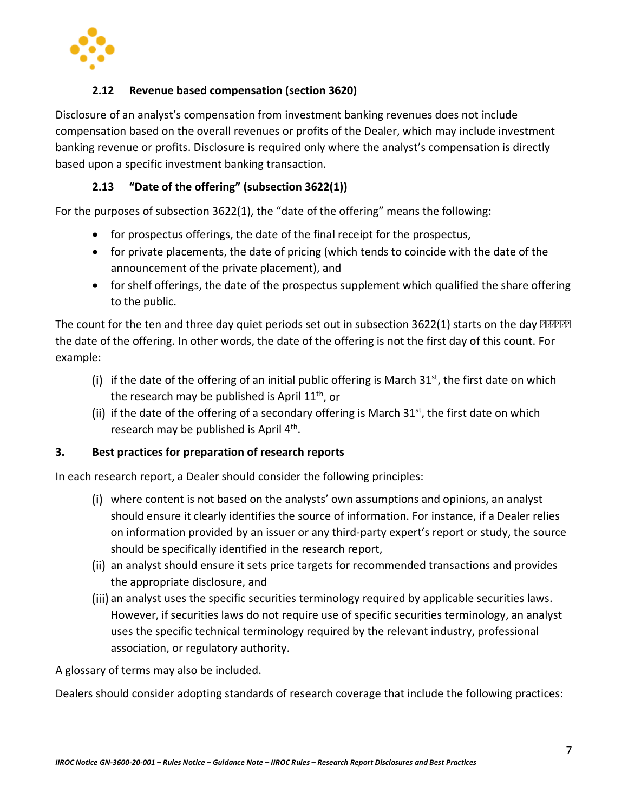

#### **2.12 Revenue based compensation (section 3620)**

<span id="page-6-0"></span> Disclosure of an analyst's compensation from investment banking revenues does not include compensation based on the overall revenues or profits of the Dealer, which may include investment banking revenue or profits. Disclosure is required only where the analyst's compensation is directly based upon a specific investment banking transaction.

#### **2.13 "Date of the offering" (subsection 3622(1))**

<span id="page-6-1"></span>For the purposes of subsection 3622(1), the "date of the offering" means the following:

- for prospectus offerings, the date of the final receipt for the prospectus,
- • for private placements, the date of pricing (which tends to coincide with the date of the announcement of the private placement), and
- for shelf offerings, the date of the prospectus supplement which qualified the share offering to the public.

The count for the ten and three day quiet periods set out in subsection 3622(1) starts on the day *after*  the date of the offering. In other words, the date of the offering is not the first day of this count. For example:

- (i) if the date of the offering of an initial public offering is March  $31<sup>st</sup>$ , the first date on which the research may be published is April  $11<sup>th</sup>$ , or
- (ii) if the date of the offering of a secondary offering is March  $31<sup>st</sup>$ , the first date on which research may be published is April 4<sup>th</sup>.

#### <span id="page-6-2"></span>**3. Best practices for preparation of research reports**

In each research report, a Dealer should consider the following principles:

- should ensure it clearly identifies the source of information. For instance, if a Dealer relies on information provided by an issuer or any third-party expert's report or study, the source where content is not based on the analysts' own assumptions and opinions, an analyst should be specifically identified in the research report,
- an analyst should ensure it sets price targets for recommended transactions and provides the appropriate disclosure, and
- an analyst uses the specific securities terminology required by applicable securities laws. However, if securities laws do not require use of specific securities terminology, an analyst uses the specific technical terminology required by the relevant industry, professional association, or regulatory authority.

A glossary of terms may also be included.

Dealers should consider adopting standards of research coverage that include the following practices: